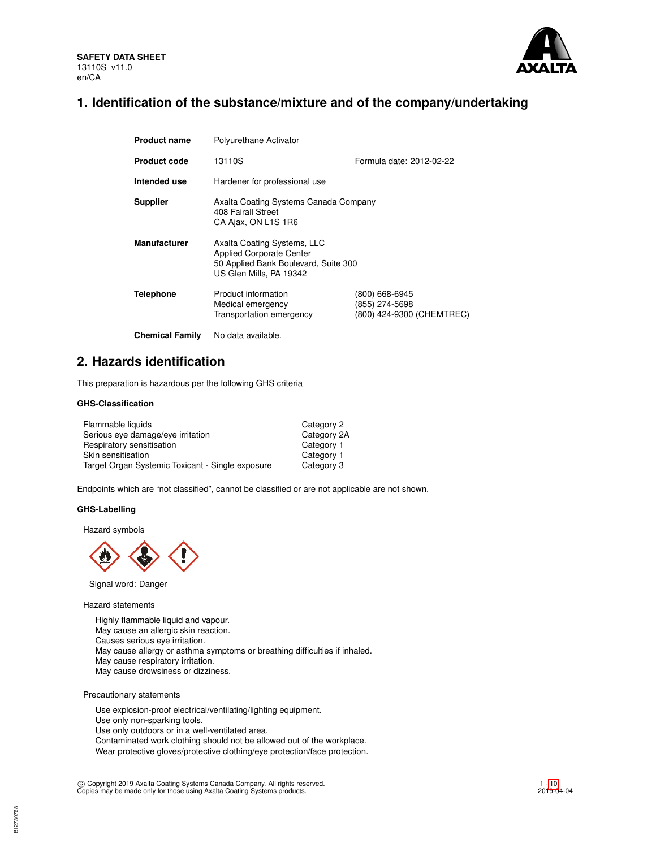

# **1. Identification of the substance/mixture and of the company/undertaking**

| <b>Product name</b>    | Polyurethane Activator                                                                                                            |                                                               |
|------------------------|-----------------------------------------------------------------------------------------------------------------------------------|---------------------------------------------------------------|
| <b>Product code</b>    | 13110S                                                                                                                            | Formula date: 2012-02-22                                      |
| Intended use           | Hardener for professional use                                                                                                     |                                                               |
| <b>Supplier</b>        | Axalta Coating Systems Canada Company<br>408 Fairall Street<br>CA Ajax, ON L1S 1R6                                                |                                                               |
| <b>Manufacturer</b>    | Axalta Coating Systems, LLC<br><b>Applied Corporate Center</b><br>50 Applied Bank Boulevard, Suite 300<br>US Glen Mills, PA 19342 |                                                               |
| <b>Telephone</b>       | Product information<br>Medical emergency<br>Transportation emergency                                                              | (800) 668-6945<br>(855) 274-5698<br>(800) 424-9300 (CHEMTREC) |
| <b>Chemical Family</b> | No data available.                                                                                                                |                                                               |

# **2. Hazards identification**

This preparation is hazardous per the following GHS criteria

# **GHS-Classification**

| Flammable liquids                                | Category 2  |
|--------------------------------------------------|-------------|
| Serious eye damage/eye irritation                | Category 2A |
| Respiratory sensitisation                        | Category 1  |
| Skin sensitisation                               | Category 1  |
| Target Organ Systemic Toxicant - Single exposure | Category 3  |

Endpoints which are "not classified", cannot be classified or are not applicable are not shown.

# **GHS-Labelling**

Hazard symbols



Signal word: Danger

Hazard statements

Highly flammable liquid and vapour. May cause an allergic skin reaction. Causes serious eye irritation. May cause allergy or asthma symptoms or breathing difficulties if inhaled. May cause respiratory irritation. May cause drowsiness or dizziness.

Precautionary statements

Use explosion-proof electrical/ventilating/lighting equipment. Use only non-sparking tools. Use only outdoors or in a well-ventilated area. Contaminated work clothing should not be allowed out of the workplace. Wear protective gloves/protective clothing/eye protection/face protection.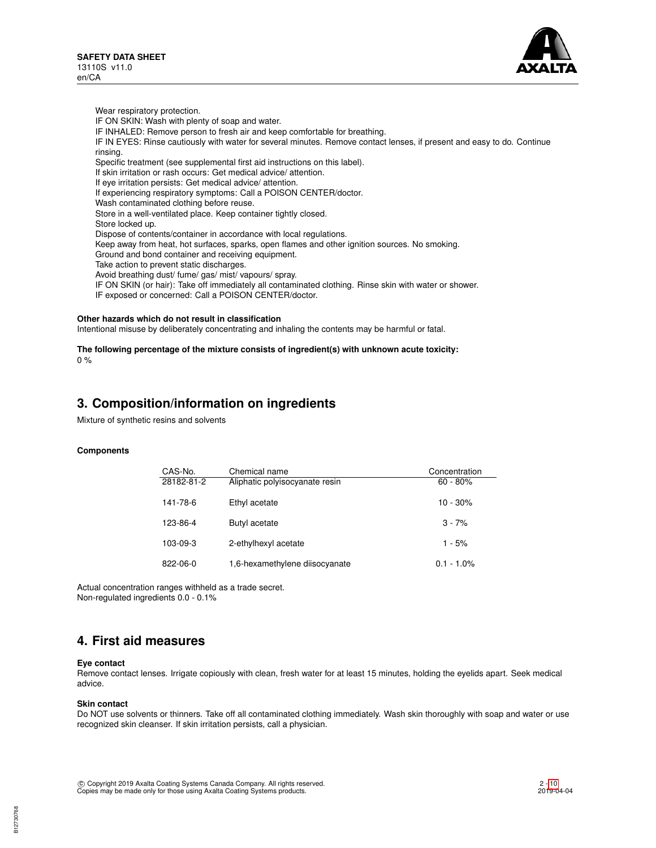Wear respiratory protection.



IF ON SKIN: Wash with plenty of soap and water. IF INHALED: Remove person to fresh air and keep comfortable for breathing. IF IN EYES: Rinse cautiously with water for several minutes. Remove contact lenses, if present and easy to do. Continue rinsing. Specific treatment (see supplemental first aid instructions on this label). If skin irritation or rash occurs: Get medical advice/ attention. If eye irritation persists: Get medical advice/ attention. If experiencing respiratory symptoms: Call a POISON CENTER/doctor. Wash contaminated clothing before reuse. Store in a well-ventilated place. Keep container tightly closed. Store locked up. Dispose of contents/container in accordance with local regulations. Keep away from heat, hot surfaces, sparks, open flames and other ignition sources. No smoking. Ground and bond container and receiving equipment. Take action to prevent static discharges. Avoid breathing dust/ fume/ gas/ mist/ vapours/ spray. IF ON SKIN (or hair): Take off immediately all contaminated clothing. Rinse skin with water or shower.

IF exposed or concerned: Call a POISON CENTER/doctor.

# **Other hazards which do not result in classification**

Intentional misuse by deliberately concentrating and inhaling the contents may be harmful or fatal.

## **The following percentage of the mixture consists of ingredient(s) with unknown acute toxicity:**  $0 %$

# **3. Composition/information on ingredients**

Mixture of synthetic resins and solvents

# **Components**

| CAS-No.        | Chemical name                  | Concentration |
|----------------|--------------------------------|---------------|
| 28182-81-2     | Aliphatic polyisocyanate resin | $60 - 80%$    |
| 141-78-6       | Ethyl acetate                  | 10 - 30%      |
| 123-86-4       | Butyl acetate                  | $3 - 7%$      |
| 103-09-3       | 2-ethylhexyl acetate           | $1 - 5%$      |
| $822 - 06 - 0$ | 1,6-hexamethylene diisocyanate | $0.1 - 1.0\%$ |

Actual concentration ranges withheld as a trade secret. Non-regulated ingredients 0.0 - 0.1%

# **4. First aid measures**

# **Eye contact**

Remove contact lenses. Irrigate copiously with clean, fresh water for at least 15 minutes, holding the eyelids apart. Seek medical advice.

## **Skin contact**

Do NOT use solvents or thinners. Take off all contaminated clothing immediately. Wash skin thoroughly with soap and water or use recognized skin cleanser. If skin irritation persists, call a physician.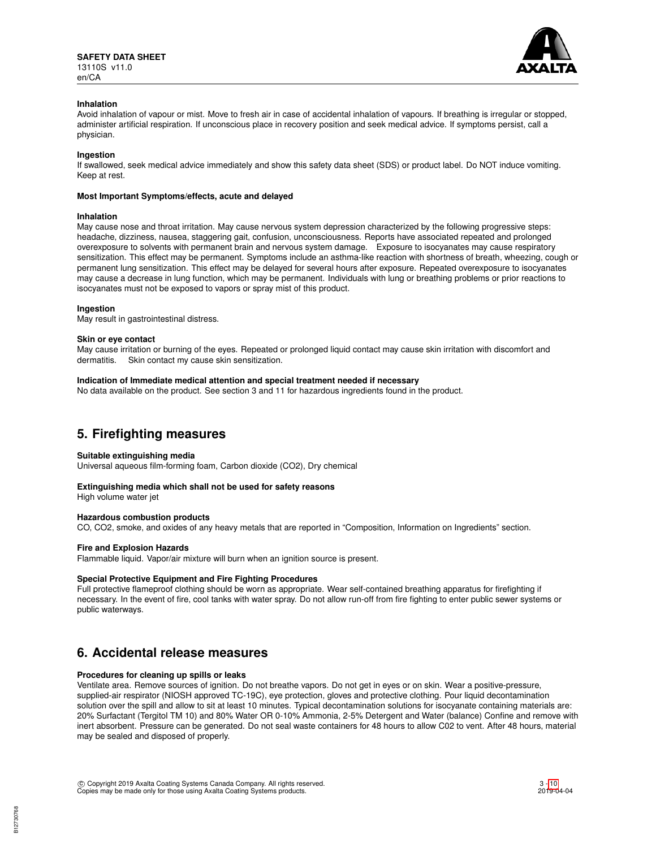

## **Inhalation**

Avoid inhalation of vapour or mist. Move to fresh air in case of accidental inhalation of vapours. If breathing is irregular or stopped, administer artificial respiration. If unconscious place in recovery position and seek medical advice. If symptoms persist, call a physician.

## **Ingestion**

If swallowed, seek medical advice immediately and show this safety data sheet (SDS) or product label. Do NOT induce vomiting. Keep at rest.

## **Most Important Symptoms/effects, acute and delayed**

## **Inhalation**

May cause nose and throat irritation. May cause nervous system depression characterized by the following progressive steps: headache, dizziness, nausea, staggering gait, confusion, unconsciousness. Reports have associated repeated and prolonged overexposure to solvents with permanent brain and nervous system damage. Exposure to isocyanates may cause respiratory sensitization. This effect may be permanent. Symptoms include an asthma-like reaction with shortness of breath, wheezing, cough or permanent lung sensitization. This effect may be delayed for several hours after exposure. Repeated overexposure to isocyanates may cause a decrease in lung function, which may be permanent. Individuals with lung or breathing problems or prior reactions to isocyanates must not be exposed to vapors or spray mist of this product.

## **Ingestion**

May result in gastrointestinal distress.

### **Skin or eye contact**

May cause irritation or burning of the eyes. Repeated or prolonged liquid contact may cause skin irritation with discomfort and dermatitis. Skin contact my cause skin sensitization.

### **Indication of Immediate medical attention and special treatment needed if necessary**

No data available on the product. See section 3 and 11 for hazardous ingredients found in the product.

# **5. Firefighting measures**

# **Suitable extinguishing media**

Universal aqueous film-forming foam, Carbon dioxide (CO2), Dry chemical

# **Extinguishing media which shall not be used for safety reasons**

High volume water jet

# **Hazardous combustion products**

CO, CO2, smoke, and oxides of any heavy metals that are reported in "Composition, Information on Ingredients" section.

# **Fire and Explosion Hazards**

Flammable liquid. Vapor/air mixture will burn when an ignition source is present.

### **Special Protective Equipment and Fire Fighting Procedures**

Full protective flameproof clothing should be worn as appropriate. Wear self-contained breathing apparatus for firefighting if necessary. In the event of fire, cool tanks with water spray. Do not allow run-off from fire fighting to enter public sewer systems or public waterways.

# **6. Accidental release measures**

# **Procedures for cleaning up spills or leaks**

Ventilate area. Remove sources of ignition. Do not breathe vapors. Do not get in eyes or on skin. Wear a positive-pressure, supplied-air respirator (NIOSH approved TC-19C), eye protection, gloves and protective clothing. Pour liquid decontamination solution over the spill and allow to sit at least 10 minutes. Typical decontamination solutions for isocyanate containing materials are: 20% Surfactant (Tergitol TM 10) and 80% Water OR 0-10% Ammonia, 2-5% Detergent and Water (balance) Confine and remove with inert absorbent. Pressure can be generated. Do not seal waste containers for 48 hours to allow C02 to vent. After 48 hours, material may be sealed and disposed of properly.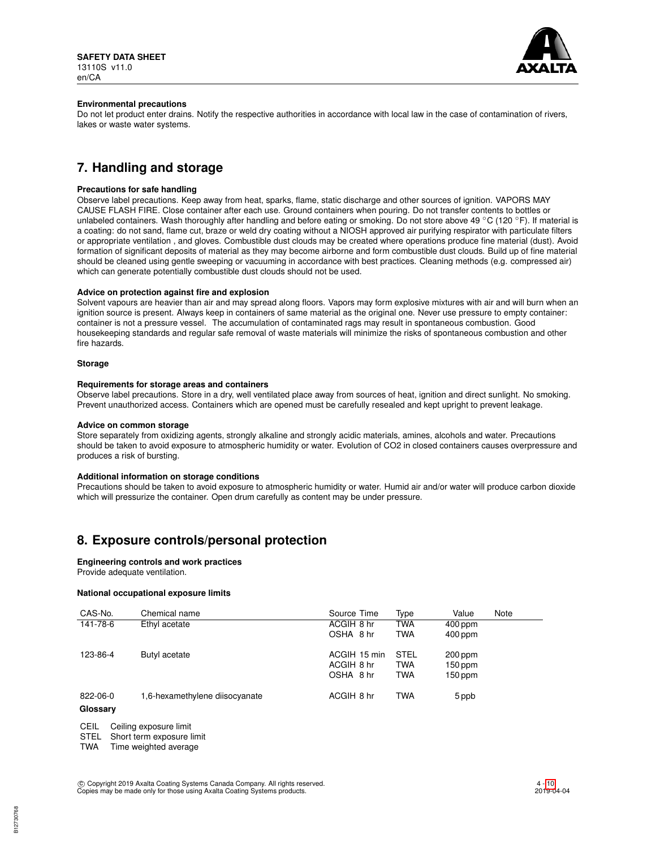

## **Environmental precautions**

Do not let product enter drains. Notify the respective authorities in accordance with local law in the case of contamination of rivers, lakes or waste water systems.

# **7. Handling and storage**

# **Precautions for safe handling**

Observe label precautions. Keep away from heat, sparks, flame, static discharge and other sources of ignition. VAPORS MAY CAUSE FLASH FIRE. Close container after each use. Ground containers when pouring. Do not transfer contents to bottles or unlabeled containers. Wash thoroughly after handling and before eating or smoking. Do not store above 49 °C (120 °F). If material is a coating: do not sand, flame cut, braze or weld dry coating without a NIOSH approved air purifying respirator with particulate filters or appropriate ventilation , and gloves. Combustible dust clouds may be created where operations produce fine material (dust). Avoid formation of significant deposits of material as they may become airborne and form combustible dust clouds. Build up of fine material should be cleaned using gentle sweeping or vacuuming in accordance with best practices. Cleaning methods (e.g. compressed air) which can generate potentially combustible dust clouds should not be used.

## **Advice on protection against fire and explosion**

Solvent vapours are heavier than air and may spread along floors. Vapors may form explosive mixtures with air and will burn when an ignition source is present. Always keep in containers of same material as the original one. Never use pressure to empty container: container is not a pressure vessel. The accumulation of contaminated rags may result in spontaneous combustion. Good housekeeping standards and regular safe removal of waste materials will minimize the risks of spontaneous combustion and other fire hazards.

### **Storage**

## **Requirements for storage areas and containers**

Observe label precautions. Store in a dry, well ventilated place away from sources of heat, ignition and direct sunlight. No smoking. Prevent unauthorized access. Containers which are opened must be carefully resealed and kept upright to prevent leakage.

## **Advice on common storage**

Store separately from oxidizing agents, strongly alkaline and strongly acidic materials, amines, alcohols and water. Precautions should be taken to avoid exposure to atmospheric humidity or water. Evolution of CO2 in closed containers causes overpressure and produces a risk of bursting.

### **Additional information on storage conditions**

Precautions should be taken to avoid exposure to atmospheric humidity or water. Humid air and/or water will produce carbon dioxide which will pressurize the container. Open drum carefully as content may be under pressure.

# **8. Exposure controls/personal protection**

### **Engineering controls and work practices**

Provide adequate ventilation.

# **National occupational exposure limits**

| CAS-No.              | Chemical name                  | Source Time                             | Type                                    | Value                               | Note |
|----------------------|--------------------------------|-----------------------------------------|-----------------------------------------|-------------------------------------|------|
| 141-78-6             | Ethyl acetate                  | ACGIH 8 hr<br>OSHA 8 hr                 | <b>TWA</b><br><b>TWA</b>                | 400 ppm<br>400 ppm                  |      |
| 123-86-4             | Butyl acetate                  | ACGIH 15 min<br>ACGIH 8 hr<br>OSHA 8 hr | <b>STEL</b><br><b>TWA</b><br><b>TWA</b> | $200$ ppm<br>$150$ ppm<br>$150$ ppm |      |
| 822-06-0<br>Glossary | 1,6-hexamethylene diisocyanate | ACGIH 8 hr                              | <b>TWA</b>                              | 5 ppb                               |      |

CEIL Ceiling exposure limit

STEL Short term exposure limit<br>TWA Time weighted average

Time weighted average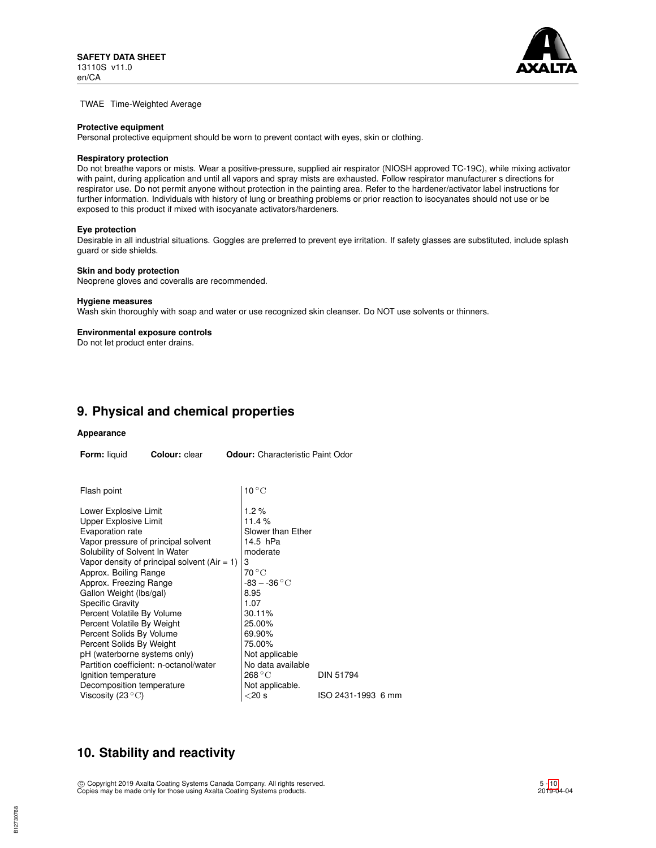

TWAE Time-Weighted Average

#### **Protective equipment**

Personal protective equipment should be worn to prevent contact with eyes, skin or clothing.

## **Respiratory protection**

Do not breathe vapors or mists. Wear a positive-pressure, supplied air respirator (NIOSH approved TC-19C), while mixing activator with paint, during application and until all vapors and spray mists are exhausted. Follow respirator manufacturer s directions for respirator use. Do not permit anyone without protection in the painting area. Refer to the hardener/activator label instructions for further information. Individuals with history of lung or breathing problems or prior reaction to isocyanates should not use or be exposed to this product if mixed with isocyanate activators/hardeners.

#### **Eye protection**

Desirable in all industrial situations. Goggles are preferred to prevent eye irritation. If safety glasses are substituted, include splash guard or side shields.

## **Skin and body protection**

Neoprene gloves and coveralls are recommended.

#### **Hygiene measures**

Wash skin thoroughly with soap and water or use recognized skin cleanser. Do NOT use solvents or thinners.

#### **Environmental exposure controls**

Do not let product enter drains.

# **9. Physical and chemical properties**

## **Appearance**

| Form: liquid<br>Colour: clear<br><b>Odour:</b> Characteristic Paint Odor                                                   |                                                |                                                         |                    |  |  |
|----------------------------------------------------------------------------------------------------------------------------|------------------------------------------------|---------------------------------------------------------|--------------------|--|--|
|                                                                                                                            |                                                |                                                         |                    |  |  |
| Flash point                                                                                                                |                                                | $10^{\circ}$ C                                          |                    |  |  |
| Lower Explosive Limit<br><b>Upper Explosive Limit</b><br>Evaporation rate                                                  |                                                | $1.2\%$<br>11.4%<br>Slower than Ether                   |                    |  |  |
| Vapor pressure of principal solvent<br>Solubility of Solvent In Water                                                      | Vapor density of principal solvent $(Air = 1)$ | 14.5 hPa<br>moderate<br>3<br>$70^{\circ}$ C             |                    |  |  |
| Approx. Boiling Range<br>Approx. Freezing Range<br>Gallon Weight (lbs/gal)<br><b>Specific Gravity</b>                      |                                                | $-83 - -36$ °C<br>8.95<br>1.07                          |                    |  |  |
| Percent Volatile By Volume<br>Percent Volatile By Weight<br>Percent Solids By Volume                                       |                                                | 30.11%<br>25.00%<br>69.90%                              |                    |  |  |
| Percent Solids By Weight<br>pH (waterborne systems only)<br>Partition coefficient: n-octanol/water<br>Ignition temperature |                                                | 75.00%<br>Not applicable<br>No data available<br>268 °C | <b>DIN 51794</b>   |  |  |
| Decomposition temperature<br>Viscosity (23 $\mathrm{^{\circ}C}$ )                                                          |                                                | Not applicable.<br>$<$ 20 s                             | ISO 2431-1993 6 mm |  |  |

# **10. Stability and reactivity**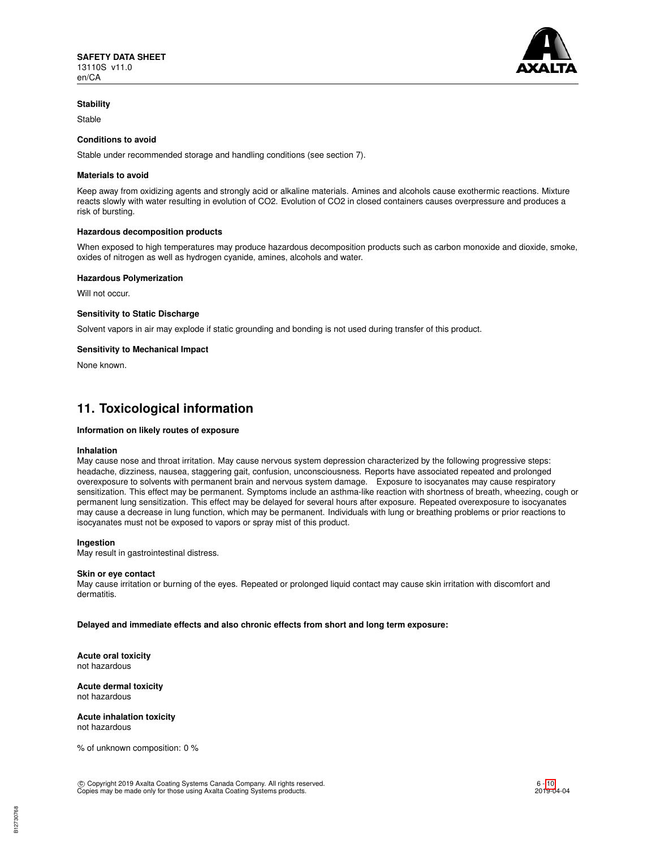

## **Stability**

Stable

## **Conditions to avoid**

Stable under recommended storage and handling conditions (see section 7).

### **Materials to avoid**

Keep away from oxidizing agents and strongly acid or alkaline materials. Amines and alcohols cause exothermic reactions. Mixture reacts slowly with water resulting in evolution of CO2. Evolution of CO2 in closed containers causes overpressure and produces a risk of bursting.

#### **Hazardous decomposition products**

When exposed to high temperatures may produce hazardous decomposition products such as carbon monoxide and dioxide, smoke, oxides of nitrogen as well as hydrogen cyanide, amines, alcohols and water.

#### **Hazardous Polymerization**

Will not occur.

### **Sensitivity to Static Discharge**

Solvent vapors in air may explode if static grounding and bonding is not used during transfer of this product.

#### **Sensitivity to Mechanical Impact**

None known.

# **11. Toxicological information**

## **Information on likely routes of exposure**

#### **Inhalation**

May cause nose and throat irritation. May cause nervous system depression characterized by the following progressive steps: headache, dizziness, nausea, staggering gait, confusion, unconsciousness. Reports have associated repeated and prolonged overexposure to solvents with permanent brain and nervous system damage. Exposure to isocyanates may cause respiratory sensitization. This effect may be permanent. Symptoms include an asthma-like reaction with shortness of breath, wheezing, cough or permanent lung sensitization. This effect may be delayed for several hours after exposure. Repeated overexposure to isocyanates may cause a decrease in lung function, which may be permanent. Individuals with lung or breathing problems or prior reactions to isocyanates must not be exposed to vapors or spray mist of this product.

## **Ingestion**

May result in gastrointestinal distress.

#### **Skin or eye contact**

May cause irritation or burning of the eyes. Repeated or prolonged liquid contact may cause skin irritation with discomfort and dermatitis.

### **Delayed and immediate effects and also chronic effects from short and long term exposure:**

**Acute oral toxicity** not hazardous

#### **Acute dermal toxicity** not hazardous

**Acute inhalation toxicity** not hazardous

% of unknown composition: 0 %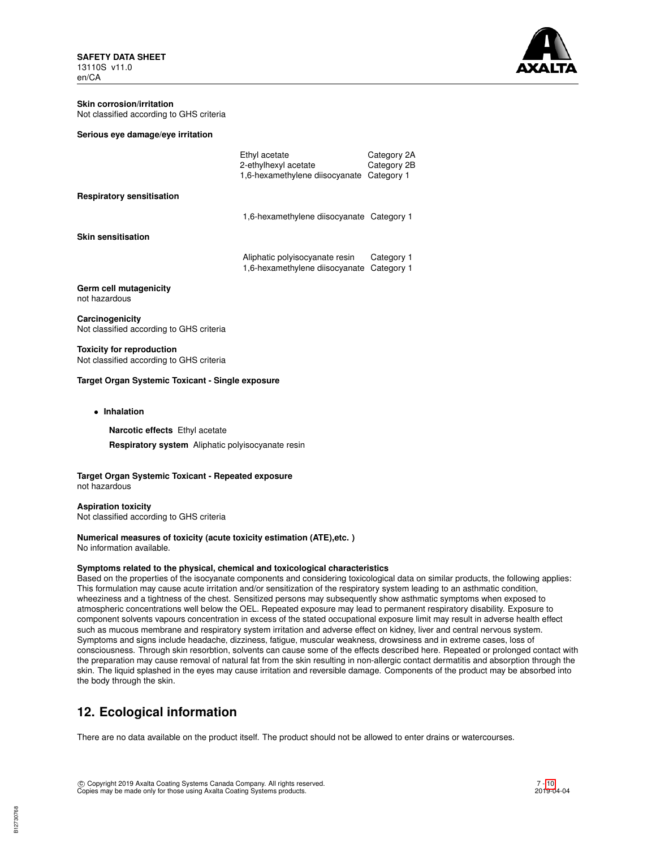

#### **Skin corrosion/irritation** Not classified according to GHS criteria

| Serious eye damage/eye irritation |  |  |
|-----------------------------------|--|--|
|-----------------------------------|--|--|

|                                  | Ethyl acetate<br>2-ethylhexyl acetate<br>1,6-hexamethylene diisocyanate | Category 2A<br>Category 2B<br>Category 1 |
|----------------------------------|-------------------------------------------------------------------------|------------------------------------------|
| <b>Respiratory sensitisation</b> |                                                                         |                                          |
|                                  | 1,6-hexamethylene diisocyanate Category 1                               |                                          |
| <b>Skin sensitisation</b>        |                                                                         |                                          |
|                                  | Aliphatic polyisocyanate resin<br>1,6-hexamethylene diisocyanate        | Category 1<br>Category 1                 |
| Germ cell mutagenicity           |                                                                         |                                          |

**Germ cell n** not hazardous

**Carcinogenicity** Not classified according to GHS criteria

**Toxicity for reproduction** Not classified according to GHS criteria

### **Target Organ Systemic Toxicant - Single exposure**

• **Inhalation**

**Narcotic effects** Ethyl acetate

**Respiratory system** Aliphatic polyisocyanate resin

**Target Organ Systemic Toxicant - Repeated exposure** not hazardous

**Aspiration toxicity** Not classified according to GHS criteria

### **Numerical measures of toxicity (acute toxicity estimation (ATE),etc. )** No information available.

# **Symptoms related to the physical, chemical and toxicological characteristics**

Based on the properties of the isocyanate components and considering toxicological data on similar products, the following applies: This formulation may cause acute irritation and/or sensitization of the respiratory system leading to an asthmatic condition, wheeziness and a tightness of the chest. Sensitized persons may subsequently show asthmatic symptoms when exposed to atmospheric concentrations well below the OEL. Repeated exposure may lead to permanent respiratory disability. Exposure to component solvents vapours concentration in excess of the stated occupational exposure limit may result in adverse health effect such as mucous membrane and respiratory system irritation and adverse effect on kidney, liver and central nervous system. Symptoms and signs include headache, dizziness, fatigue, muscular weakness, drowsiness and in extreme cases, loss of consciousness. Through skin resorbtion, solvents can cause some of the effects described here. Repeated or prolonged contact with the preparation may cause removal of natural fat from the skin resulting in non-allergic contact dermatitis and absorption through the skin. The liquid splashed in the eyes may cause irritation and reversible damage. Components of the product may be absorbed into the body through the skin.

# **12. Ecological information**

There are no data available on the product itself. The product should not be allowed to enter drains or watercourses.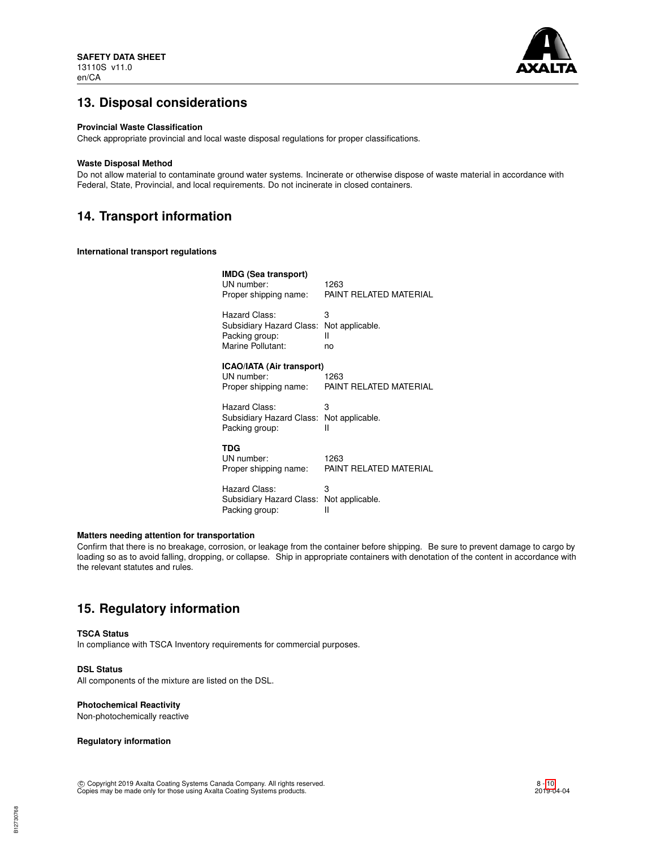

# **13. Disposal considerations**

## **Provincial Waste Classification**

Check appropriate provincial and local waste disposal regulations for proper classifications.

### **Waste Disposal Method**

Do not allow material to contaminate ground water systems. Incinerate or otherwise dispose of waste material in accordance with Federal, State, Provincial, and local requirements. Do not incinerate in closed containers.

# **14. Transport information**

**International transport regulations**

| <b>IMDG (Sea transport)</b><br>UN number:<br>Proper shipping name: | 1263<br>PAINT RELATED MATERIAL |
|--------------------------------------------------------------------|--------------------------------|
| Hazard Class:                                                      | 3                              |
| Subsidiary Hazard Class:                                           | Not applicable.                |
| Packing group:                                                     | н                              |
| Marine Pollutant:                                                  | no                             |
| <b>ICAO/IATA (Air transport)</b><br>UN number:                     | 1263                           |
| Proper shipping name:                                              | PAINT RELATED MATERIAL         |
| Hazard Class:                                                      | 3                              |
| Subsidiary Hazard Class:                                           | Not applicable.                |
| Packing group:                                                     | Ш                              |
| TDG                                                                |                                |
| UN number:                                                         | 1263                           |
| Proper shipping name:                                              | PAINT RELATED MATERIAL         |
| Hazard Class:                                                      | 3                              |
| Subsidiary Hazard Class:                                           | Not applicable.                |
| Packing group:                                                     | Ш                              |

### **Matters needing attention for transportation**

Confirm that there is no breakage, corrosion, or leakage from the container before shipping. Be sure to prevent damage to cargo by loading so as to avoid falling, dropping, or collapse. Ship in appropriate containers with denotation of the content in accordance with the relevant statutes and rules.

# **15. Regulatory information**

## **TSCA Status**

In compliance with TSCA Inventory requirements for commercial purposes.

# **DSL Status**

All components of the mixture are listed on the DSL.

## **Photochemical Reactivity**

Non-photochemically reactive

## **Regulatory information**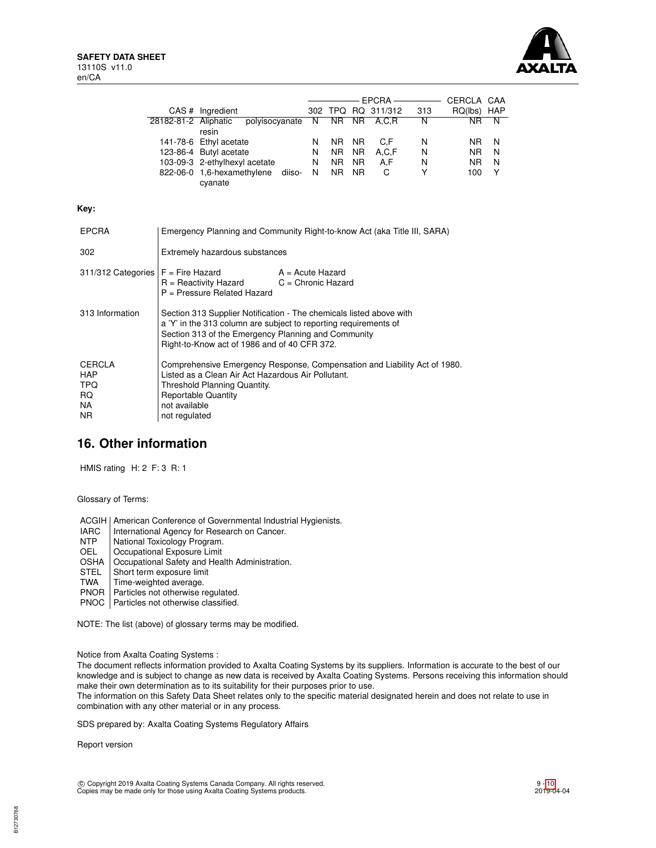**Key:**



|                                                                |                                |                                                                                                                                                                                                                                                |    |                |     |                    |     | CERCLA CAA  |   |
|----------------------------------------------------------------|--------------------------------|------------------------------------------------------------------------------------------------------------------------------------------------------------------------------------------------------------------------------------------------|----|----------------|-----|--------------------|-----|-------------|---|
|                                                                |                                | CAS # Ingredient                                                                                                                                                                                                                               |    |                |     | 302 TPQ RQ 311/312 | 313 | RQ(lbs) HAP |   |
|                                                                | 28182-81-2 Aliphatic           | polyisocyanate<br>resin                                                                                                                                                                                                                        | N  |                |     | NR NR A,C,R        | N   | NR.         | N |
|                                                                |                                | 141-78-6 Ethyl acetate                                                                                                                                                                                                                         | N  | NR I           | NR. | C.F                | N   | NR.         | N |
|                                                                |                                | 123-86-4 Butyl acetate                                                                                                                                                                                                                         | N. | NR.            | NR. | A.C.F              | N   | NR.         | N |
|                                                                |                                | 103-09-3 2-ethylhexyl acetate                                                                                                                                                                                                                  | N  | N <sub>R</sub> | NR. | A,F                | N   | NR.         | N |
|                                                                |                                | 822-06-0 1,6-hexamethylene diiso-<br>cyanate                                                                                                                                                                                                   | N. | NR.            | NR. | C                  | Y   | 100         | Y |
| Kev:                                                           |                                |                                                                                                                                                                                                                                                |    |                |     |                    |     |             |   |
| <b>EPCRA</b>                                                   |                                | Emergency Planning and Community Right-to-know Act (aka Title III, SARA)                                                                                                                                                                       |    |                |     |                    |     |             |   |
| 302                                                            |                                | Extremely hazardous substances                                                                                                                                                                                                                 |    |                |     |                    |     |             |   |
| 311/312 Categories $F =$ Fire Hazard                           |                                | $A = Acute$ Hazard<br>R = Reactivity Hazard<br>$C =$ Chronic Hazard<br>$P =$ Pressure Related Hazard                                                                                                                                           |    |                |     |                    |     |             |   |
| 313 Information                                                |                                | Section 313 Supplier Notification - The chemicals listed above with<br>a 'Y' in the 313 column are subject to reporting requirements of<br>Section 313 of the Emergency Planning and Community<br>Right-to-Know act of 1986 and of 40 CFR 372. |    |                |     |                    |     |             |   |
| <b>CERCLA</b><br><b>HAP</b><br><b>TPQ</b><br>RQ.<br>NA.<br>NR. | not available<br>not regulated | Comprehensive Emergency Response, Compensation and Liability Act of 1980.<br>Listed as a Clean Air Act Hazardous Air Pollutant.<br>Threshold Planning Quantity.<br><b>Reportable Quantity</b>                                                  |    |                |     |                    |     |             |   |

# **16. Other information**

HMIS rating H: 2 F: 3 R: 1

Glossary of Terms:

ACGIH | American Conference of Governmental Industrial Hygienists.<br>
IARC | International Agency for Research on Cancer.

- IARC | International Agency for Research on Cancer.<br>NTP | National Toxicology Program.
- NTP | National Toxicology Program.<br>
OEL | Occupational Exposure Limit
- Occupational Exposure Limit
- OSHA | Occupational Safety and Health Administration.<br>STEL | Short term exposure limit
- STEL Short term exposure limit<br>TWA Time-weighted average.
- Time-weighted average.
- PNOR | Particles not otherwise regulated.
- PNOC | Particles not otherwise classified.

NOTE: The list (above) of glossary terms may be modified.

Notice from Axalta Coating Systems :

The document reflects information provided to Axalta Coating Systems by its suppliers. Information is accurate to the best of our knowledge and is subject to change as new data is received by Axalta Coating Systems. Persons receiving this information should make their own determination as to its suitability for their purposes prior to use.

The information on this Safety Data Sheet relates only to the specific material designated herein and does not relate to use in combination with any other material or in any process.

SDS prepared by: Axalta Coating Systems Regulatory Affairs

Report version